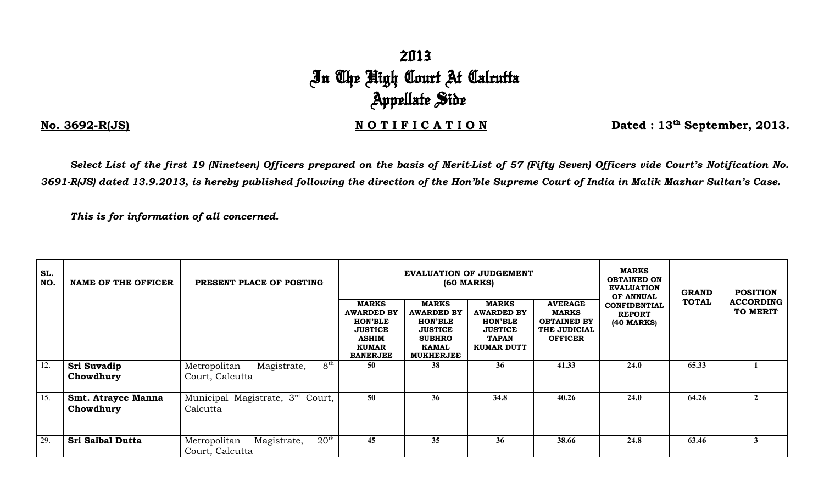## 2013 In The High Court At Calcutta Appellate Side

**No. 3692-R(JS)** No. 3692-R(JS) No. 3692-R(JS) No. 3692-R(JS)

*Select List of the first 19 (Nineteen) Officers prepared on the basis of Merit-List of 57 (Fifty Seven) Officers vide Court's Notification No. 3691-R(JS) dated 13.9.2013, is hereby published following the direction of the Hon'ble Supreme Court of India in Malik Mazhar Sultan's Case.*

*This is for information of all concerned.*

| SL.<br>NO.  | NAME OF THE OFFICER                    | PRESENT PLACE OF POSTING                                        |                                                                                                                          |                                                                                                                            | <b>EVALUATION OF JUDGEMENT</b><br><b>(60 MARKS)</b>                                                        | <b>MARKS</b><br><b>OBTAINED ON</b><br><b>EVALUATION</b><br>OF ANNUAL                   | <b>GRAND</b>                                       | <b>POSITION</b> |                              |
|-------------|----------------------------------------|-----------------------------------------------------------------|--------------------------------------------------------------------------------------------------------------------------|----------------------------------------------------------------------------------------------------------------------------|------------------------------------------------------------------------------------------------------------|----------------------------------------------------------------------------------------|----------------------------------------------------|-----------------|------------------------------|
|             |                                        |                                                                 | <b>MARKS</b><br><b>AWARDED BY</b><br><b>HON'BLE</b><br><b>JUSTICE</b><br><b>ASHIM</b><br><b>KUMAR</b><br><b>BANERJEE</b> | <b>MARKS</b><br><b>AWARDED BY</b><br><b>HON'BLE</b><br><b>JUSTICE</b><br><b>SUBHRO</b><br><b>KAMAL</b><br><b>MUKHERJEE</b> | <b>MARKS</b><br><b>AWARDED BY</b><br><b>HON'BLE</b><br><b>JUSTICE</b><br><b>TAPAN</b><br><b>KUMAR DUTT</b> | <b>AVERAGE</b><br><b>MARKS</b><br><b>OBTAINED BY</b><br>THE JUDICIAL<br><b>OFFICER</b> | <b>CONFIDENTIAL</b><br><b>REPORT</b><br>(40 MARKS) | <b>TOTAL</b>    | <b>ACCORDING</b><br>TO MERIT |
| 12.         | Sri Suvadip<br>Chowdhury               | $8^{\rm th}$<br>Magistrate,<br>Metropolitan<br>Court, Calcutta  | 50                                                                                                                       | 38                                                                                                                         | 36                                                                                                         | 41.33                                                                                  | 24.0                                               | 65.33           |                              |
| $\vert$ 15. | <b>Smt. Atrayee Manna</b><br>Chowdhury | Municipal Magistrate, 3 <sup>rd</sup> Court,<br>Calcutta        | 50                                                                                                                       | 36                                                                                                                         | 34.8                                                                                                       | 40.26                                                                                  | 24.0                                               | 64.26           | $\mathbf{2}$                 |
| 29.         | <b>Sri Saibal Dutta</b>                | $20^{\rm th}$<br>Metropolitan<br>Magistrate,<br>Court, Calcutta | 45                                                                                                                       | 35                                                                                                                         | 36                                                                                                         | 38.66                                                                                  | 24.8                                               | 63.46           | 3                            |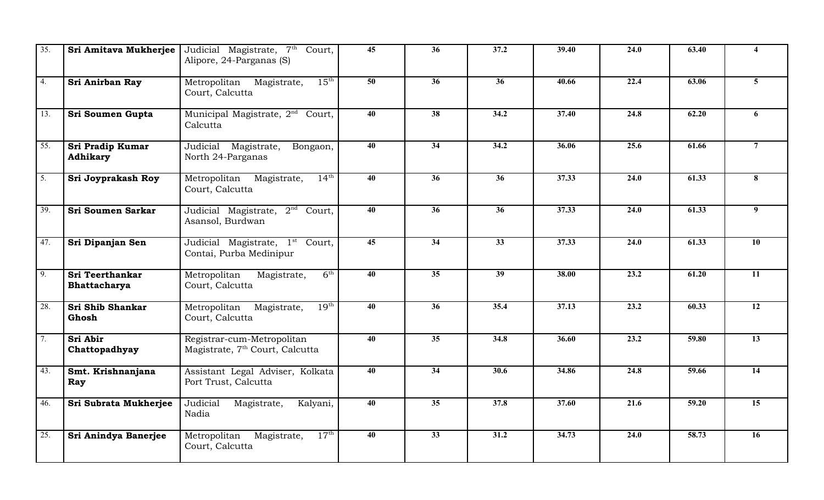| 35.               | Sri Amitava Mukherjee                         | Judicial Magistrate, 7 <sup>th</sup> Court,<br>Alipore, 24-Parganas (S)   | 45              | 36              | 37.2            | 39.40 | 24.0 | 63.40 | 4                |
|-------------------|-----------------------------------------------|---------------------------------------------------------------------------|-----------------|-----------------|-----------------|-------|------|-------|------------------|
| 4.                | Sri Anirban Ray                               | $15^{\text{th}}$<br>Metropolitan Magistrate,<br>Court, Calcutta           | $\overline{50}$ | $\overline{36}$ | $\overline{36}$ | 40.66 | 22.4 | 63.06 | 5 <sup>5</sup>   |
| 13.               | Sri Soumen Gupta                              | Municipal Magistrate, 2 <sup>nd</sup> Court,<br>Calcutta                  | 40              | $\overline{38}$ | 34.2            | 37.40 | 24.8 | 62.20 | 6                |
| $\overline{55}$ . | Sri Pradip Kumar<br><b>Adhikary</b>           | Judicial Magistrate,<br>Bongaon,<br>North 24-Parganas                     | $\overline{40}$ | $\overline{34}$ | 34.2            | 36.06 | 25.6 | 61.66 | $\overline{7}$   |
| $\overline{5}$ .  | Sri Joyprakash Roy                            | $14^{\text{th}}$<br>Metropolitan Magistrate,<br>Court, Calcutta           | $\overline{40}$ | $\overline{36}$ | $\overline{36}$ | 37.33 | 24.0 | 61.33 | 8                |
| 39.               | <b>Sri Soumen Sarkar</b>                      | Judicial Magistrate, 2 <sup>nd</sup> Court,<br>Asansol, Burdwan           | $\overline{40}$ | $\overline{36}$ | $\overline{36}$ | 37.33 | 24.0 | 61.33 | $\boldsymbol{9}$ |
| 47.               | Sri Dipanjan Sen                              | Judicial Magistrate, 1 <sup>st</sup> Court,<br>Contai, Purba Medinipur    | 45              | $\overline{34}$ | $\overline{33}$ | 37.33 | 24.0 | 61.33 | 10               |
| $\overline{9}$ .  | <b>Sri Teerthankar</b><br><b>Bhattacharya</b> | 6 <sup>th</sup><br>Metropolitan<br>Magistrate,<br>Court, Calcutta         | 40              | $\overline{35}$ | $\overline{39}$ | 38.00 | 23.2 | 61.20 | $\overline{11}$  |
| 28.               | Sri Shib Shankar<br>Ghosh                     | 19 <sup>th</sup><br>Metropolitan Magistrate,<br>Court, Calcutta           | 40              | $\overline{36}$ | 35.4            | 37.13 | 23.2 | 60.33 | $\overline{12}$  |
| 7.                | Sri Abir<br>Chattopadhyay                     | Registrar-cum-Metropolitan<br>Magistrate, 7 <sup>th</sup> Court, Calcutta | 40              | $\overline{35}$ | 34.8            | 36.60 | 23.2 | 59.80 | $\overline{13}$  |
| 43.               | Smt. Krishnanjana<br>Ray                      | Assistant Legal Adviser, Kolkata<br>Port Trust, Calcutta                  | 40              | 34              | 30.6            | 34.86 | 24.8 | 59.66 | 14               |
| 46.               | Sri Subrata Mukherjee                         | Judicial<br>Magistrate,<br>Kalyani,<br>Nadia                              | 40              | $\overline{35}$ | 37.8            | 37.60 | 21.6 | 59.20 | $\overline{15}$  |
| 25.               | Sri Anindya Banerjee                          | 17 <sup>th</sup><br>Metropolitan<br>Magistrate,<br>Court, Calcutta        | 40              | $\overline{33}$ | 31.2            | 34.73 | 24.0 | 58.73 | 16               |